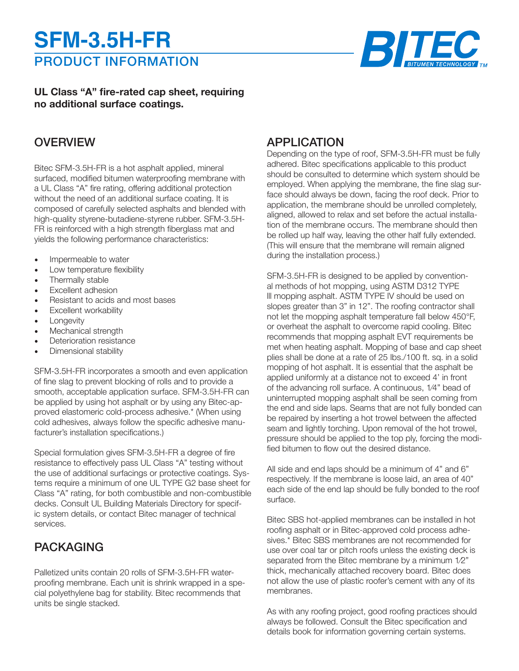# PRODUCT INFORMATION **SFM-3.5H-FR**



**UL Class "A" fire-rated cap sheet, requiring no additional surface coatings.**

## **OVERVIEW**

Bitec SFM-3.5H-FR is a hot asphalt applied, mineral surfaced, modified bitumen waterproofing membrane with a UL Class "A" fire rating, offering additional protection without the need of an additional surface coating. It is composed of carefully selected asphalts and blended with high-quality styrene-butadiene-styrene rubber. SFM-3.5H-FR is reinforced with a high strength fiberglass mat and yields the following performance characteristics:

- Impermeable to water
- Low temperature flexibility
- Thermally stable
- Excellent adhesion
- Resistant to acids and most bases
- Excellent workability
- Longevity
- Mechanical strength
- Deterioration resistance
- Dimensional stability

SFM-3.5H-FR incorporates a smooth and even application of fine slag to prevent blocking of rolls and to provide a smooth, acceptable application surface. SFM-3.5H-FR can be applied by using hot asphalt or by using any Bitec-approved elastomeric cold-process adhesive.\* (When using cold adhesives, always follow the specific adhesive manufacturer's installation specifications.)

Special formulation gives SFM-3.5H-FR a degree of fire resistance to effectively pass UL Class "A" testing without the use of additional surfacings or protective coatings. Systems require a minimum of one UL TYPE G2 base sheet for Class "A" rating, for both combustible and non-combustible decks. Consult UL Building Materials Directory for specific system details, or contact Bitec manager of technical services.

# PACKAGING

Palletized units contain 20 rolls of SFM-3.5H-FR waterproofing membrane. Each unit is shrink wrapped in a special polyethylene bag for stability. Bitec recommends that units be single stacked.

### APPLICATION

Depending on the type of roof, SFM-3.5H-FR must be fully adhered. Bitec specifications applicable to this product should be consulted to determine which system should be employed. When applying the membrane, the fine slag surface should always be down, facing the roof deck. Prior to application, the membrane should be unrolled completely, aligned, allowed to relax and set before the actual installation of the membrane occurs. The membrane should then be rolled up half way, leaving the other half fully extended. (This will ensure that the membrane will remain aligned during the installation process.)

SFM-3.5H-FR is designed to be applied by conventional methods of hot mopping, using ASTM D312 TYPE lll mopping asphalt. ASTM TYPE IV should be used on slopes greater than 3" in 12". The roofing contractor shall not let the mopping asphalt temperature fall below 450°F, or overheat the asphalt to overcome rapid cooling. Bitec recommends that mopping asphalt EVT requirements be met when heating asphalt. Mopping of base and cap sheet plies shall be done at a rate of 25 Ibs./100 ft. sq. in a solid mopping of hot asphalt. It is essential that the asphalt be applied uniformly at a distance not to exceed 4' in front of the advancing roll surface. A continuous, 1⁄4" bead of uninterrupted mopping asphalt shall be seen coming from the end and side laps. Seams that are not fully bonded can be repaired by inserting a hot trowel between the affected seam and lightly torching. Upon removal of the hot trowel, pressure should be applied to the top ply, forcing the modified bitumen to flow out the desired distance.

All side and end laps should be a minimum of 4" and 6" respectively. If the membrane is loose laid, an area of 40" each side of the end lap should be fully bonded to the roof surface.

Bitec SBS hot-applied membranes can be installed in hot roofing asphalt or in Bitec-approved cold process adhesives.\* Bitec SBS membranes are not recommended for use over coal tar or pitch roofs unless the existing deck is separated from the Bitec membrane by a minimum 1/2" thick, mechanically attached recovery board. Bitec does not allow the use of plastic roofer's cement with any of its membranes.

As with any roofing project, good roofing practices should always be followed. Consult the Bitec specification and details book for information governing certain systems.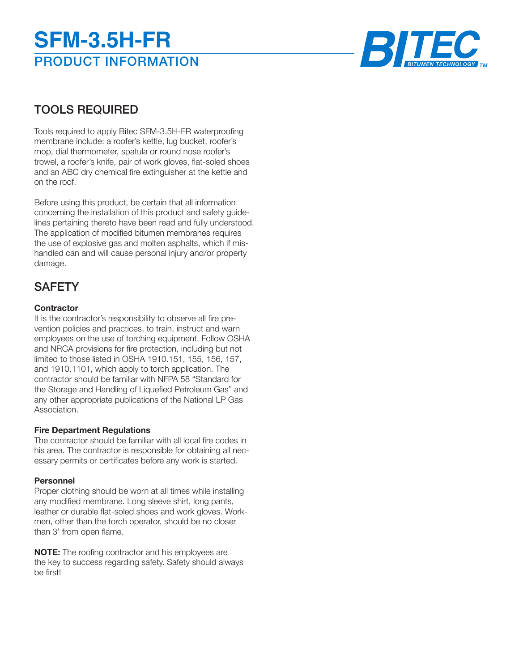# PRODUCT INFORMATION **SFM-3.5H-FR**



# TOOLS REQUIRED

Tools required to apply Bitec SFM-3.5H-FR waterproofing membrane include: a roofer's kettle, lug bucket, roofer's mop, dial thermometer, spatula or round nose roofer's trowel, a roofer's knife, pair of work gloves, flat-soled shoes and an ABC dry chemical fire extinguisher at the kettle and on the roof.

Before using this product, be certain that all information concerning the installation of this product and safety guidelines pertaining thereto have been read and fully understood. The application of modified bitumen membranes requires the use of explosive gas and molten asphalts, which if mishandled can and will cause personal injury and/or property damage.

# **SAFETY**

### **Contractor**

It is the contractor's responsibility to observe all fire prevention policies and practices, to train, instruct and warn employees on the use of torching equipment. Follow OSHA and NRCA provisions for fire protection, including but not limited to those listed in OSHA 1910.151, 155, 156, 157, and 1910.1101, which apply to torch application. The contractor should be familiar with NFPA 58 "Standard for the Storage and Handling of Liquefied Petroleum Gas" and any other appropriate publications of the National LP Gas Association.

### **Fire Department Regulations**

The contractor should be familiar with all local fire codes in his area. The contractor is responsible for obtaining all necessary permits or certificates before any work is started.

### **Personnel**

Proper clothing should be worn at all times while installing any modified membrane. Long sleeve shirt, long pants, leather or durable flat-soled shoes and work gloves. Workmen, other than the torch operator, should be no closer than 3' from open flame.

**NOTE:** The roofing contractor and his employees are the key to success regarding safety. Safety should always be first!